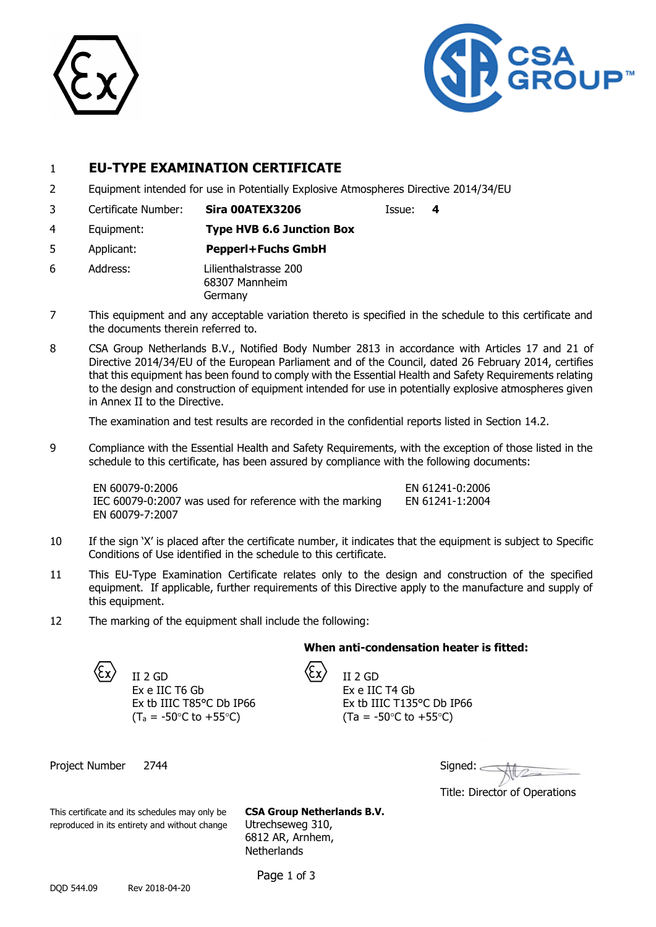



# 1 **EU-TYPE EXAMINATION CERTIFICATE**

- 2 Equipment intended for use in Potentially Explosive Atmospheres Directive 2014/34/EU
- 3 Certificate Number: **Sira 00ATEX3206** Issue: **4**

- 4 Equipment: **Type HVB 6.6 Junction Box**
- 5 Applicant: **Pepperl+Fuchs GmbH**
- 6 Address: Lilienthalstrasse 200 68307 Mannheim Germany
- 7 This equipment and any acceptable variation thereto is specified in the schedule to this certificate and the documents therein referred to.
- 8 CSA Group Netherlands B.V., Notified Body Number 2813 in accordance with Articles 17 and 21 of Directive 2014/34/EU of the European Parliament and of the Council, dated 26 February 2014, certifies that this equipment has been found to comply with the Essential Health and Safety Requirements relating to the design and construction of equipment intended for use in potentially explosive atmospheres given in Annex II to the Directive.

The examination and test results are recorded in the confidential reports listed in Section 14.2.

9 Compliance with the Essential Health and Safety Requirements, with the exception of those listed in the schedule to this certificate, has been assured by compliance with the following documents:

EN 60079-0:2006 EN 61241-0:2006 IEC  $60079 - 0:2007$  was used for reference with the marking EN 60079-7:2007

- 10 If the sign 'X' is placed after the certificate number, it indicates that the equipment is subject to Specific Conditions of Use identified in the schedule to this certificate.
- 11 This EU-Type Examination Certificate relates only to the design and construction of the specified equipment. If applicable, further requirements of this Directive apply to the manufacture and supply of this equipment.
- 12 The marking of the equipment shall include the following:

#### **When anti-condensation heater is fitted:**

II 2 GD  $\langle \c{x} \rangle$  II 2 GD Ex e IIC T6 Gb Ex e IIC T4 Gb  $(T_a = -50^{\circ}C \text{ to } +55^{\circ}C)$  (Ta = -50°C to +55°C)

Ex tb IIIC T85°C Db IP66 Ex tb IIIC T135°C Db IP66

Project Number 2744

| Signed: |  |
|---------|--|
|         |  |

Title: Director of Operations

This certificate and its schedules may only be **CSA Group Netherlands B.V.** reproduced in its entirety and without change Utrechseweg 310,

6812 AR, Arnhem, **Netherlands** 

Page 1 of 3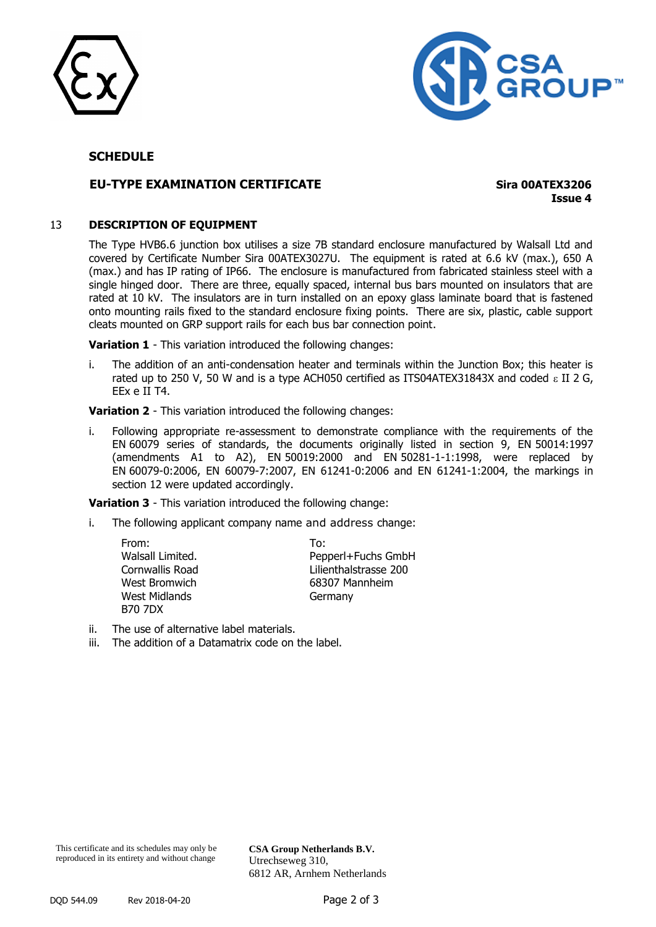



## **SCHEDULE**

## **EU-TYPE EXAMINATION CERTIFICATE Sira 00ATEX3206**

**Issue 4**

#### 13 **DESCRIPTION OF EQUIPMENT**

The Type HVB6.6 junction box utilises a size 7B standard enclosure manufactured by Walsall Ltd and covered by Certificate Number Sira 00ATEX3027U. The equipment is rated at 6.6 kV (max.), 650 A (max.) and has IP rating of IP66. The enclosure is manufactured from fabricated stainless steel with a single hinged door. There are three, equally spaced, internal bus bars mounted on insulators that are rated at 10 kV. The insulators are in turn installed on an epoxy glass laminate board that is fastened onto mounting rails fixed to the standard enclosure fixing points. There are six, plastic, cable support cleats mounted on GRP support rails for each bus bar connection point.

**Variation 1** - This variation introduced the following changes:

i. The addition of an anti-condensation heater and terminals within the Junction Box; this heater is rated up to 250 V, 50 W and is a type ACH050 certified as ITS04ATEX31843X and coded  $\epsilon$  II 2 G, EEx e II T4.

**Variation 2** - This variation introduced the following changes:

i. Following appropriate re-assessment to demonstrate compliance with the requirements of the EN 60079 series of standards, the documents originally listed in section 9, EN 50014:1997 (amendments A1 to A2), EN 50019:2000 and EN 50281-1-1:1998, were replaced by EN 60079-0:2006, EN 60079-7:2007, EN 61241-0:2006 and EN 61241-1:2004, the markings in section 12 were updated accordingly.

**Variation 3** - This variation introduced the following change:

i. The following applicant company name and address change:

| From:            | To:                   |
|------------------|-----------------------|
| Walsall Limited. | Pepperl+Fuchs GmbH    |
| Cornwallis Road  | Lilienthalstrasse 200 |
| West Bromwich    | 68307 Mannheim        |
| West Midlands    | Germany               |
| <b>B70 7DX</b>   |                       |

ii. The use of alternative label materials.

iii. The addition of a Datamatrix code on the label.

**CSA Group Netherlands B.V.** Utrechseweg 310, 6812 AR, Arnhem Netherlands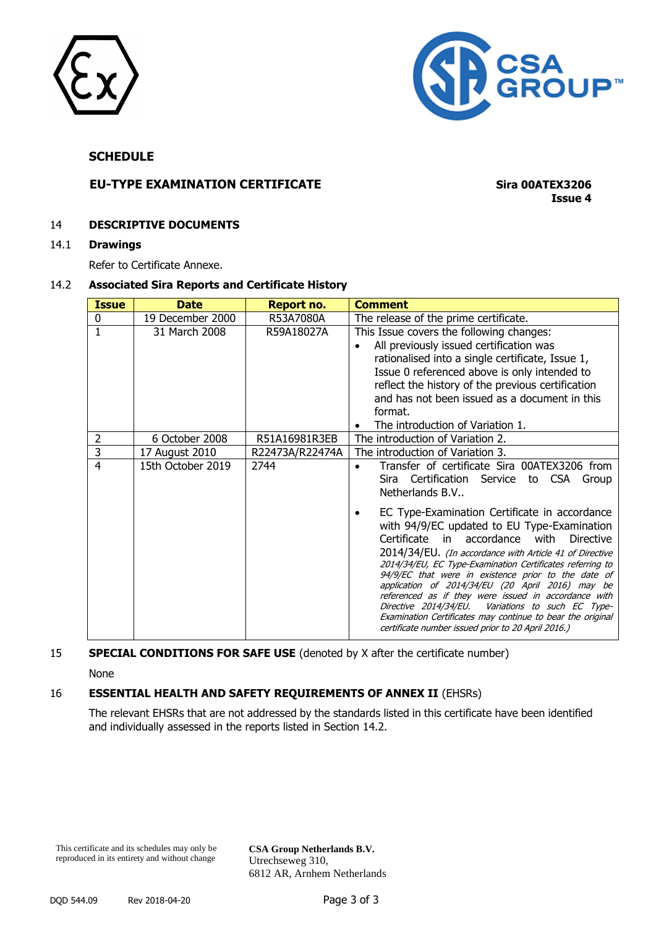



## **SCHEDULE**

# **EU-TYPE EXAMINATION CERTIFICATE Sira 00ATEX3206**

**Issue 4**

#### 14 **DESCRIPTIVE DOCUMENTS**

14.1 **Drawings**

Refer to Certificate Annexe.

#### 14.2 **Associated Sira Reports and Certificate History**

| <b>Issue</b> | <b>Date</b>       | <b>Report no.</b> | <b>Comment</b>                                                                                                                                                                                                                                                                                                                                                                                                                                                                                                                                                                                                               |
|--------------|-------------------|-------------------|------------------------------------------------------------------------------------------------------------------------------------------------------------------------------------------------------------------------------------------------------------------------------------------------------------------------------------------------------------------------------------------------------------------------------------------------------------------------------------------------------------------------------------------------------------------------------------------------------------------------------|
| 0            | 19 December 2000  | R53A7080A         | The release of the prime certificate.                                                                                                                                                                                                                                                                                                                                                                                                                                                                                                                                                                                        |
|              | 31 March 2008     | R59A18027A        | This Issue covers the following changes:<br>All previously issued certification was<br>$\bullet$<br>rationalised into a single certificate, Issue 1,<br>Issue 0 referenced above is only intended to<br>reflect the history of the previous certification<br>and has not been issued as a document in this<br>format.<br>The introduction of Variation 1.                                                                                                                                                                                                                                                                    |
| 2            | 6 October 2008    | R51A16981R3EB     | The introduction of Variation 2.                                                                                                                                                                                                                                                                                                                                                                                                                                                                                                                                                                                             |
| 3            | 17 August 2010    | R22473A/R22474A   | The introduction of Variation 3.                                                                                                                                                                                                                                                                                                                                                                                                                                                                                                                                                                                             |
| 4            | 15th October 2019 | 2744              | Transfer of certificate Sira 00ATEX3206 from<br>Sira Certification Service to CSA Group<br>Netherlands B.V                                                                                                                                                                                                                                                                                                                                                                                                                                                                                                                   |
|              |                   |                   | EC Type-Examination Certificate in accordance<br>with 94/9/EC updated to EU Type-Examination<br>Certificate in<br>accordance with<br><b>Directive</b><br>2014/34/EU. (In accordance with Article 41 of Directive<br>2014/34/EU, EC Type-Examination Certificates referring to<br>94/9/EC that were in existence prior to the date of<br>application of 2014/34/EU (20 April 2016) may be<br>referenced as if they were issued in accordance with<br>Directive 2014/34/EU.<br>Variations to such EC Type-<br>Examination Certificates may continue to bear the original<br>certificate number issued prior to 20 April 2016.) |

# 15 **SPECIAL CONDITIONS FOR SAFE USE** (denoted by X after the certificate number)

None

# 16 **ESSENTIAL HEALTH AND SAFETY REQUIREMENTS OF ANNEX II** (EHSRs)

The relevant EHSRs that are not addressed by the standards listed in this certificate have been identified and individually assessed in the reports listed in Section 14.2.

This certificate and its schedules may only be reproduced in its entirety and without change

**CSA Group Netherlands B.V.** Utrechseweg 310, 6812 AR, Arnhem Netherlands